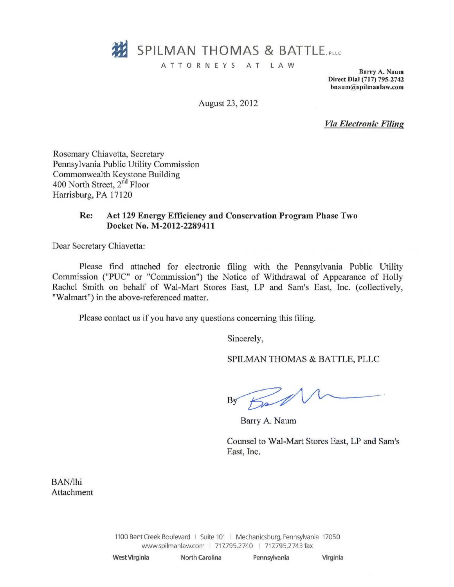

ATTORNEYS AT LAW

Barry A. Naum Direct Dial (717) 795-2742  $b$ naum@spilmanlaw.com

August 23, 2012

Via EIectronic

Rosemary Chiavetta, Secretary Pennsylvania Public Utility Commission Commonwealth Keystone Building 400 North Street, 2<sup>nd</sup> Floor Harrisburg, PA 17120

## Re: Act 129 Energy Efficiency and Conservation Program Phase Two Docket No. M-2012-22S9411

Dear Secretary Chiavetta:

Please find attached for electronic filing with the Pennsylvania Public Utility Commission ("PUC" or "Commission") the Notice of Withdrawal of Appearance of Holly Rachel Smith on behalf of Wal-Mart Stores East, LP and Sam's East, Inc. (collectively, "Walmart"} in the above-referenced matter.

Please contact us if you have any questions concerning this filing.

Sincerely,

SPILMAN THOMAS & BATTLE, PLLC

By

Barry A. Naum

Counsel to Wal-Mart Stores East, LP and Sam's East, Inc.

BAN/lhi Attachment